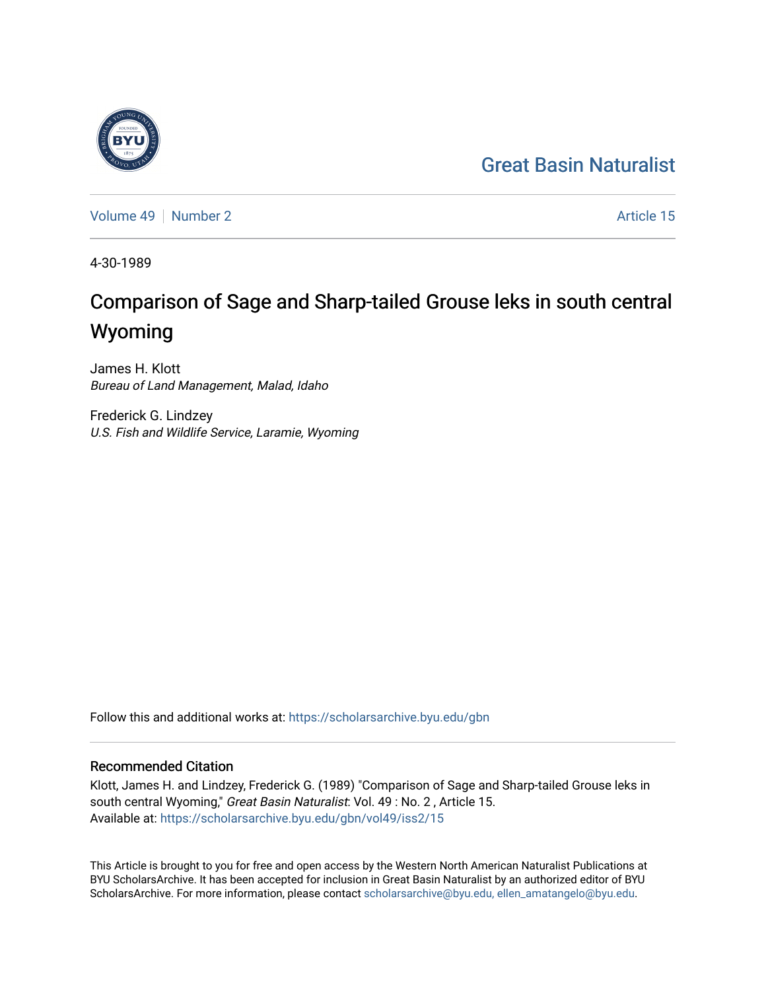# [Great Basin Naturalist](https://scholarsarchive.byu.edu/gbn)

[Volume 49](https://scholarsarchive.byu.edu/gbn/vol49) [Number 2](https://scholarsarchive.byu.edu/gbn/vol49/iss2) Article 15

4-30-1989

# Comparison of Sage and Sharp-tailed Grouse leks in south central Wyoming

James H. Klott Bureau of Land Management, Malad, Idaho

Frederick G. Lindzey U.S. Fish and Wildlife Service, Laramie, Wyoming

Follow this and additional works at: [https://scholarsarchive.byu.edu/gbn](https://scholarsarchive.byu.edu/gbn?utm_source=scholarsarchive.byu.edu%2Fgbn%2Fvol49%2Fiss2%2F15&utm_medium=PDF&utm_campaign=PDFCoverPages) 

# Recommended Citation

Klott, James H. and Lindzey, Frederick G. (1989) "Comparison of Sage and Sharp-tailed Grouse leks in south central Wyoming," Great Basin Naturalist: Vol. 49 : No. 2 , Article 15. Available at: [https://scholarsarchive.byu.edu/gbn/vol49/iss2/15](https://scholarsarchive.byu.edu/gbn/vol49/iss2/15?utm_source=scholarsarchive.byu.edu%2Fgbn%2Fvol49%2Fiss2%2F15&utm_medium=PDF&utm_campaign=PDFCoverPages) 

This Article is brought to you for free and open access by the Western North American Naturalist Publications at BYU ScholarsArchive. It has been accepted for inclusion in Great Basin Naturalist by an authorized editor of BYU ScholarsArchive. For more information, please contact [scholarsarchive@byu.edu, ellen\\_amatangelo@byu.edu.](mailto:scholarsarchive@byu.edu,%20ellen_amatangelo@byu.edu)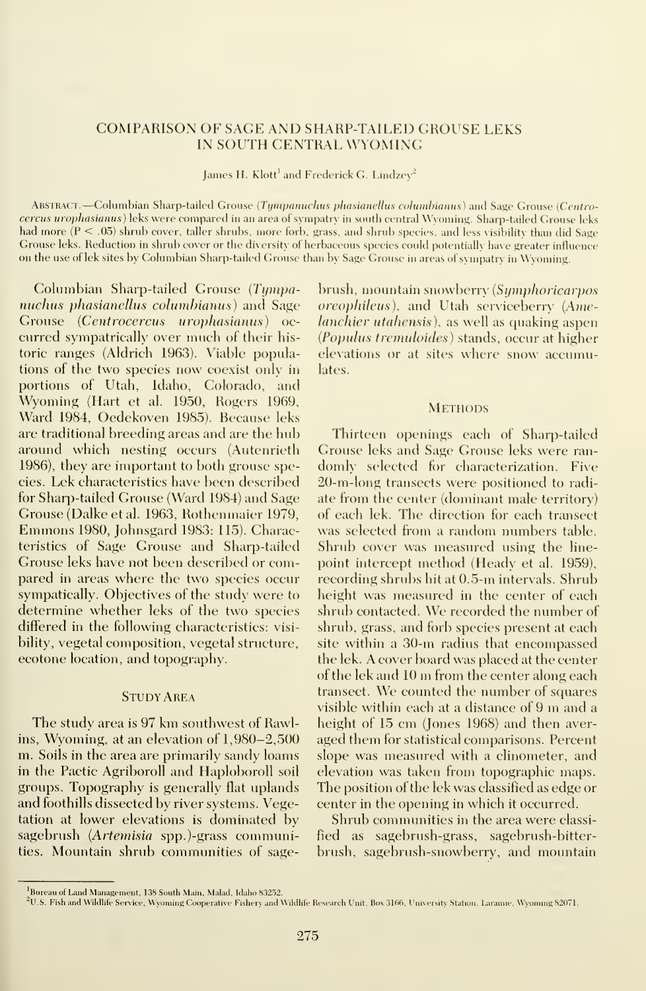# COMPARISON OF SAGE AND SHARP-TAILED GROUSE LEKS IN SOUTH CENTRAL WYOMING

James H. Klott' and Frederick G. Lindzey<del>'</del> —

ABSTRACT.—Columbian Sharp-tailed Grouse (Tympanuchus phasianellus columbianus) and Sage Grouse (Centrocercus urophasianus) leks were compared in an area of sympatry in south central Wyoming. Sharp-tailed Grouse leks had more (P < .05) shrub cover, taller shrubs, more forb, grass, and shrub species, and less visibility than did Sage Grouse leks. Reduction in shrub cover or the diversity of herbaceous species could potentially have greater influence on the use of lek sites by Columbian Sharp-tailed Grouse than by Sage Grouse in areas of sympatry in Wyoming.

Columbian Sharp-tailed Grouse (Tympanuchus phasianellus columbianus) and Sage Grouse (Centrocercus urophasianus) oc curred sympatrically over much of their his toric ranges (Aldrich 1963). Viable populations of the two species now coexist only in portions of Utah, Idaho, Colorado, and Wyoming (Hart et al. 1950, Rogers 1969, Ward 1984, Oedekoven 1985). Because leks are traditional breeding areas and are the hub around which nesting occurs (Autenrieth 1986), they are important to both grouse species. Lek characteristics have been described for Sharp-tailed Grouse (Ward 1984) and Sage Grouse (Dalke et al. 1963, Rothenmaier 1979, Emmons 1980, Johnsgard 1983: 115). Characteristics of Sage Grouse and Sharp-tailed Grouse leks have not been described or compared in areas where the two species occur sympatically. Objectives of the study were to determine whether leks of the two species differed in the following characteristics: visibility, vegetal composition, vegetal structure, ecotone location, and topography.

## **STUDY AREA**

The study area is 97 km southwest of Rawlins, Wyoming, at an elevation of 1,980-2,500 m. Soils in the area are primarily sandy loams in the Pactic Agriboroll and Haploboroll soil groups. Topography is generally flat uplands and foothills dissected by river systems. Vegetation at lower elevations is dominated by sagebrush (Artemisia spp.)-grass communities. Mountain shrub communities of sagebrush, mountain snowberry [Symphoricarpos oreophileus), and Utah serviceberry (Amelanchier utahensis), as well as quaking aspen (Populus tremuloides) stands, occur at higher elevations or at sites where snow accumulates.

#### **METHODS**

Thirteen openings each of Sharp-tailed Grouse leks and Sage Grouse leks were ran domly selected for characterization. Five 20-m-long transects were positioned to radi ate from the center (dominant male territory) of each lek. The direction for each transect was selected from a random numbers table. Shrub cover was measured using the line point intercept method (Heady et al. 1959), recording shrubs hit at 0.5-m intervals. Shrub height was measured in the center of each shrub contacted. We recorded the number of shrub, grass, and forb species present at each site within a 30-m radius that encompassed the lek. A cover board was placed at the center of the lek and <sup>10</sup> m from the center along each transect. We counted the number of squares visible within each at <sup>a</sup> distance of <sup>9</sup> m and <sup>a</sup> height of 15 cm (Jones 1968) and then aver aged them for statistical comparisons. Percent slope was measured with a clinometer, and elevation was taken from topographic maps. The position of the lek was classified as edge or center in the opening in which it occurred.

Shrub communities in the area were classi fied as sagebrush-grass, sagebrush-bitterbrush, sagebrush-snowberry, and mountain

Bureau of Land Management, 138 South Main. Malad, Idaho 83252.

U.S. Fish and Wildlife Service, Wyoming Cooperative Fishery and Wildlife Research Unit. Box 3166, University Station, Laramie, Wyoming 82071.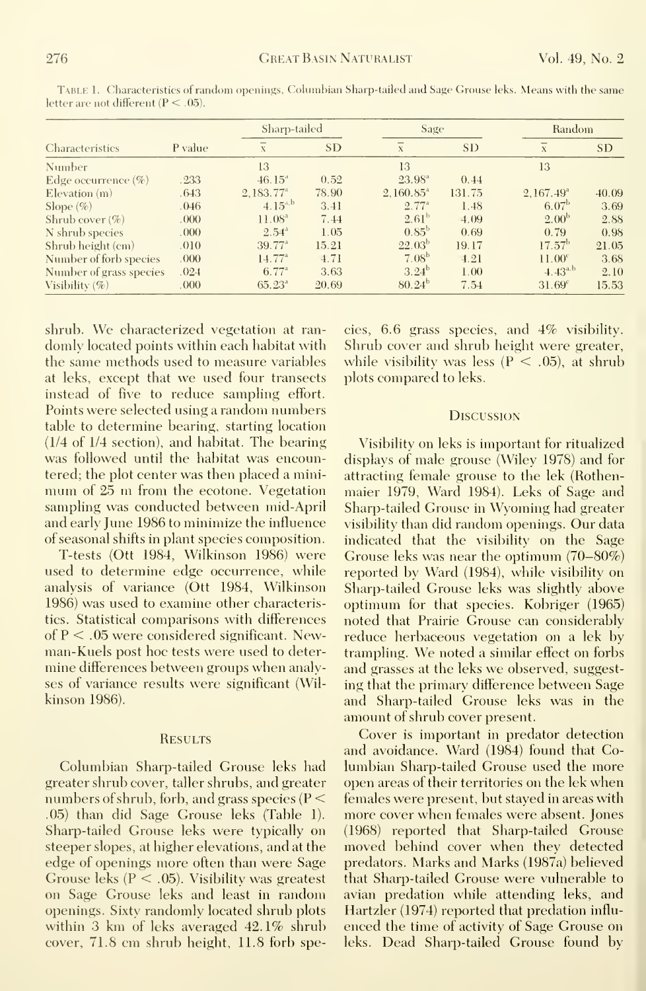| <b>Characteristics</b>  | P value | Sharp-tailed            |           | Sage               |           | Random                  |           |
|-------------------------|---------|-------------------------|-----------|--------------------|-----------|-------------------------|-----------|
|                         |         | X                       | <b>SD</b> | $\bf X$            | <b>SD</b> | $\bf X$                 | <b>SD</b> |
| Number                  |         | 13                      |           | 13                 |           | 13                      |           |
| Edge occurrence $(\%)$  | .233    | $46.15^{4}$             | 0.52      | $23.98^{\circ}$    | 0.44      |                         |           |
| $E$ levation $(m)$      | .643    | $2,183.77$ <sup>a</sup> | 78.90     | $2.160.85^{\circ}$ | 131.75    | $2.167.49$ <sup>a</sup> | 40.09     |
| Slope $(\% )$           | .046    | $4.15^{4,b}$            | 3.41      | $2.77^{\circ}$     | 1.48      | 6.07 <sup>b</sup>       | 3.69      |
| Shrub cover $(\% )$     | .000.   | $11.08^{\circ}$         | 7.44      | $2.61^{b}$         | 4.09      | $2.00^{b}$              | 2.88      |
| N shrub species         | .000.   | $2.54^{\circ}$          | 1.05      | $0.85^{\rm b}$     | 0.69      | 0.79                    | 0.98      |
| Shrub height (cm)       | .010    | $39.77^{\circ}$         | 15.21     | $22.03^{b}$        | 19.17     | $17.57^{\rm b}$         | 21.05     |
| Number of forb species  | .000.   | $14.77^{a}$             | 4.71      | $7.08^{b}$         | 4.21      | 11.00 <sup>c</sup>      | 3.68      |
| Number of grass species | .024    | $6.77^{\circ}$          | 3.63      | $3.24^{b}$         | 1.00      | $4.43^{a,b}$            | 2.10      |
| Visibility $(\%)$       | .000.   | $65.23^{\circ}$         | 20.69     | $80.24^{b}$        | 7.54      | $31.69^c$               | 15.53     |

TABLE 1. Characteristics of random openings, Columbian Sharp-tailed and Sage Grouse leks. Means with the same letter are not different  $(P < .05)$ .

shrub. We characterized vegetation at randomly located points within each habitat with the same methods used to measure variables at leks, except that we used four transects instead of five to reduce sampling effort. Points were selected using a random numbers table to determine bearing, starting location (1/4 of 1/4 section), and habitat. The bearing was followed until the habitat was encountered; the plot center was then placed a minimum of 25 m from the ecotone. Vegetation sampling was conducted between mid-April and early June 1986 to minimize the influence of seasonal shifts in plant species composition.

T-tests (Ott 1984, Wilkinson 1986) were used to determine edge occurrence, while analysis of variance (Ott 1984, Wilkinson 1986) was used to examine other characteristics. Statistical comparisons with differences of  $P < 0.05$  were considered significant. Newman-Kuels post hoc tests were used to determine differences between groups when analyses of variance results were significant (Wilkinson 1986).

#### **RESULTS**

Columbian Sharp-tailed Grouse leks had greater shrub cover, taller shrubs, and greater numbers of shrub, forb, and grass species ( $P \le$ .05) than did Sage Grouse leks (Table 1). Sharp-tailed Grouse leks were typically on steeper slopes, at higher elevations, and at the edge of openings more often than were Sage Grouse leks ( $P < .05$ ). Visibility was greatest on Sage Grouse leks and least in random openings. Sixty randomly located shrub plots within 3 km of leks averaged 42.1% shrub cover, 71.8 cm shrub height, 11.8 forb species, 6.6 grass species, and 4% visibility. Shrub cover and shrub height were greater, while visibility was less ( $P < .05$ ), at shrub plots compared to leks.

## **DISCUSSION**

Visibility on leks is important for ritualized displays of male grouse (Wiley 1978) and for attracting female grouse to the lek (Rothenmaier 1979, Ward 1984). Leks of Sage and Sharp-tailed Grouse in Wyoming had greater visibility than did random openings. Our data indicated that the visibility on the Sage Grouse leks was near the optimum  $(70-80\%)$ reported by Ward (1984), while visibility on Sharp-tailed Grouse leks was slightly above optimum for that species. Kobriger (1965) noted that Prairie Grouse can considerably reduce herbaceous vegetation on a lek by trampling. We noted a similar effect on forbs and grasses at the leks we observed, suggesting that the primary difference between Sage and Sharp-tailed Grouse leks was in the amount of shrub cover present.

Cover is important in predator detection and avoidance. Ward (1984) found that Columbian Sharp-tailed Grouse used the more open areas of their territories on the lek when females were present, but stayed in areas with more cover when females were absent. Jones (1968) reported that Sharp-tailed Grouse moved behind cover when they detected predators. Marks and Marks (1987a) believed that Sharp-tailed Grouse were vulnerable to avian predation while attending leks, and Hartzler (1974) reported that predation influenced the time of activity of Sage Grouse on leks. Dead Sharp-tailed Grouse found by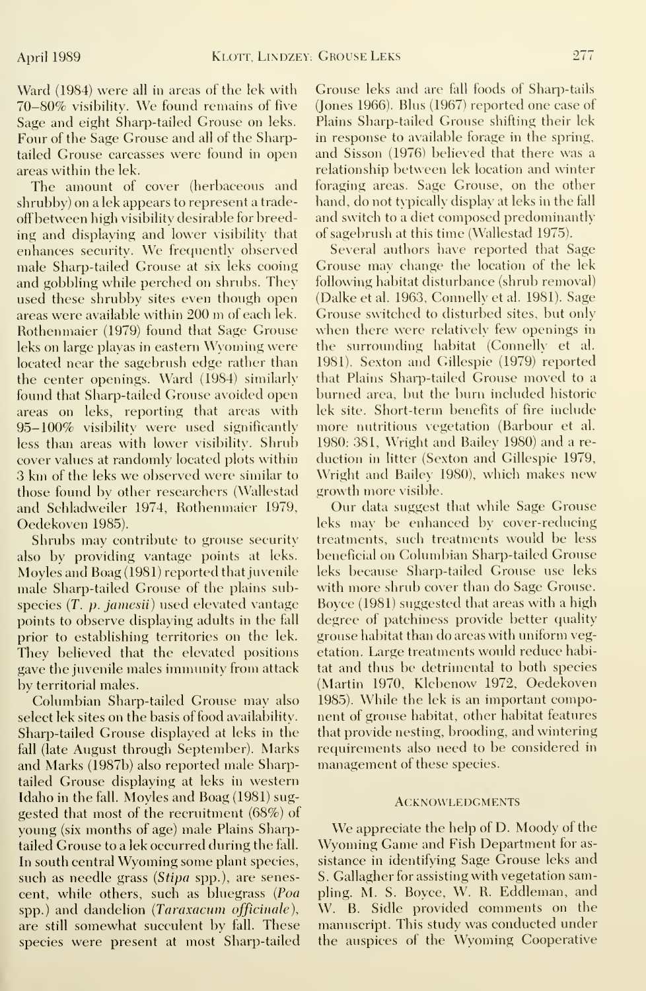Ward (1984) were all in areas of the lek with 70-80% visibility. We found remains of five Sage and eight Sharp-tailed Grouse on leks. Four of the Sage Grouse and all of the Sharptailed Grouse carcasses were found in open areas within the lek.

The amount of cover (herbaceous and shrubby) on a lek appears to represent a tradeoffbetween high visibility desirable for breeding and displaying and lower visibility that enhances security. We frequently observed male Sharp-tailed Grouse at six leks cooing and gobbling while perched on shrubs. They used these shrubby sites even though open areas were available within <sup>200</sup> m of each lek. Rothenmaier (1979) found that Sage Grouse leks on large playas in eastern Wyoming were located near the sagebrush edge rather than the center openings. Ward (1984) similarly found that Sharp-tailed Grouse avoided open areas on leks, reporting that areas with 95-100% visibility were used significantly less than areas with lower visibility. Shrub cover values at randomly located plots within 3 km of the leks we observed were similar to those found by other researchers (Wallestad and Schladweiler 1974, Rothenmaier 1979, Oedekoven 1985).

Shrubs may contribute to grouse security also by providing vantage points at leks. Moyles and Roag (1981) reported that juvenile male Sharp-tailed Grouse of the plains subspecies (T. p. jamesii) used elevated vantage points to observe displaying adults in the fall prior to establishing territories on the lek. They believed that the elevated positions gave the juvenile males immunity from attack by territorial males.

Columbian Sharp-tailed Grouse may also select lek sites on the basis of food availability. Sharp-tailed Grouse displayed at leks in the fall (late August through September). Marks and Marks (1987b) also reported male Sharptailed Grouse displaying at leks in western Idaho in the fall. Moyles and Roag (1981) sug gested that most of the recruitment (68%) of young (six months of age) male Plains Sharptailed Grouse to a lek occurred during the fall. In south central Wyoming some plant species, such as needle grass *(Stipa spp.)*, are senescent, while others, such as bluegrass (Poa spp.) and dandelion (Taraxacum officinale), are still somewhat succulent by fall. These species were present at most Sharp-tailed Grouse leks and are fall foods of Sharp-tails (Jones 1966). Rlus (1967) reported one case of Plains Sharp-tailed Grouse shifting their lek in response to available forage in the spring, and Sisson (1976) believed that there was a relationship between lek location and winter foraging areas. Sage Grouse, on the other hand, do not typically display at leks in the fall and switch to a diet composed predominantly of sagebrush at this time (Wallestad 1975).

Several authors have reported that Sage Grouse may change the location of the lek following habitat disturbance (shrub removal) (Dalke et al. 1963, Connelly et al. 1981). Sage Grouse switched to disturbed sites, but only when there were relatively few openings in the surrounding habitat (Connelly et al. 1981). Sexton and Gillespie (1979) reported that Plains Sharp-tailed Grouse moved to a burned area, but the burn included historic lek site. Short-term benefits of fire include more nutritious vegetation (Rarbour et al. 1980: 381, Wright and Railey 1980) and a re duction in litter (Sexton and Gillespie 1979, Wright and Railey 1980), which makes new growth more visible.

Our data suggest that while Sage Grouse leks may be enhanced by cover-reducing treatments, such treatments would be less beneficial on Columbian Sharp-tailed Grouse leks because Sharp-tailed Grouse use leks with more shrub cover than do Sage Grouse. Royce (1981) suggested that areas with a high degree of patchiness provide better quality grouse habitat than do areas with uniform vegetation. Large treatments would reduce habitat and thus be detrimental to both species (Martin 1970, Klebenow 1972, Oedekoven 1985). While the lek is an important component of grouse habitat, other habitat features that provide nesting, brooding, and wintering requirements also need to be considered in management of these species.

### **ACKNOWLEDGMENTS**

We appreciate the help of D. Moody of the Wyoming Game and Fish Department for as sistance in identifying Sage Grouse leks and S. Gallagher for assisting with vegetation sampling. M. S. Boyce, W. R. Eddleman, and W. B. Sidle provided comments on the manuscript. This study was conducted under the auspices of the Wyoming Cooperative